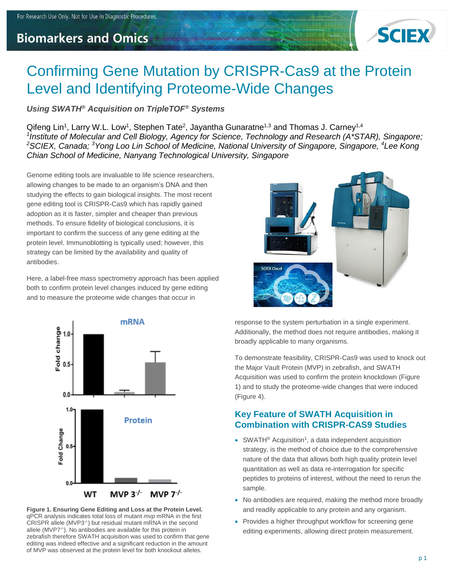# **Biomarkers and Omics**



# Confirming Gene Mutation by CRISPR-Cas9 at the Protein Level and Identifying Proteome-Wide Changes

#### *Using SWATH® Acquisition on TripleTOF® Systems*

Qifeng Lin<sup>1</sup>, Larry W.L. Low<sup>1</sup>, Stephen Tate<sup>2</sup>, Jayantha Gunaratne<sup>1,3</sup> and Thomas J. Carney<sup>1,4</sup> <sup>1</sup> Institute of Molecular and Cell Biology, Agency for Science, Technology and Research (A\*STAR), Singapore; *<sup>2</sup>SCIEX, Canada; <sup>3</sup>Yong Loo Lin School of Medicine, National University of Singapore, Singapore, <sup>4</sup>Lee Kong Chian School of Medicine, Nanyang Technological University, Singapore*

Genome editing tools are invaluable to life science researchers, allowing changes to be made to an organism's DNA and then studying the effects to gain biological insights. The most recent gene editing tool is CRISPR-Cas9 which has rapidly gained adoption as it is faster, simpler and cheaper than previous methods. To ensure fidelity of biological conclusions, it is important to confirm the success of any gene editing at the protein level. Immunoblotting is typically used; however, this strategy can be limited by the availability and quality of antibodies.

Here, a label-free mass spectrometry approach has been applied both to confirm protein level changes induced by gene editing and to measure the proteome wide changes that occur in



**Figure 1. Ensuring Gene Editing and Loss at the Protein Level.**  qPCR analysis indicates total loss of mutant *mvp* mRNA in the first CRISPR allele  $(MVP3^{-/})$  but residual mutant mRNA in the second allele (MVP7<sup>-/-</sup>). No antibodies are available for this protein in zebrafish therefore SWATH acquisition was used to confirm that gene editing was indeed effective and a significant reduction in the amount of MVP was observed at the protein level for both knockout alleles.



response to the system perturbation in a single experiment. Additionally, the method does not require antibodies, making it broadly applicable to many organisms.

To demonstrate feasibility, CRISPR-Cas9 was used to knock out the Major Vault Protein (MVP) in zebrafish, and SWATH Acquisition was used to confirm the protein knockdown (Figure 1) and to study the proteome-wide changes that were induced (Figure 4).

#### **Key Feature of SWATH Acquisition in Combination with CRISPR-CAS9 Studies**

- SWATH<sup>®</sup> Acquisition<sup>1</sup>, a data independent acquisition strategy, is the method of choice due to the comprehensive nature of the data that allows both high quality protein level quantitation as well as data re-interrogation for specific peptides to proteins of interest, without the need to rerun the sample.
- No antibodies are required, making the method more broadly and readily applicable to any protein and any organism.
- Provides a higher throughput workflow for screening gene editing experiments, allowing direct protein measurement.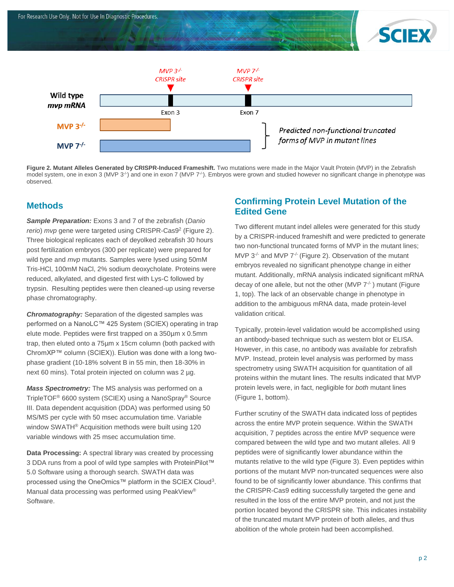



**Figure 2. Mutant Alleles Generated by CRISPR-Induced Frameshift.** Two mutations were made in the Major Vault Protein (MVP) in the Zebrafish model system, one in exon 3 (MVP 3<sup>-/</sup>) and one in exon 7 (MVP 7<sup>-/</sup>). Embryos were grown and studied however no significant change in phenotype was observed.

#### **Methods**

*Sample Preparation:* Exons 3 and 7 of the zebrafish (*Danio rerio*) *mvp* gene were targeted using CRISPR-Cas9 2 (Figure 2). Three biological replicates each of deyolked zebrafish 30 hours post fertilization embryos (300 per replicate) were prepared for wild type and *mvp* mutants. Samples were lysed using 50mM Tris-HCl, 100mM NaCl, 2% sodium deoxycholate. Proteins were reduced, alkylated, and digested first with Lys-C followed by trypsin. Resulting peptides were then cleaned-up using reverse phase chromatography.

*Chromatography:* Separation of the digested samples was performed on a NanoLC™ 425 System (SCIEX) operating in trap elute mode. Peptides were first trapped on a 350µm x 0.5mm trap, then eluted onto a 75µm x 15cm column (both packed with ChromXP™ column (SCIEX)). Elution was done with a long twophase gradient (10-18% solvent B in 55 min, then 18-30% in next 60 mins). Total protein injected on column was 2 µg.

*Mass Spectrometry:* The MS analysis was performed on a TripleTOF® 6600 system (SCIEX) using a NanoSpray® Source III. Data dependent acquisition (DDA) was performed using 50 MS/MS per cycle with 50 msec accumulation time. Variable window SWATH® Acquisition methods were built using 120 variable windows with 25 msec accumulation time.

**Data Processing:** A spectral library was created by processing 3 DDA runs from a pool of wild type samples with ProteinPilot™ 5.0 Software using a thorough search. SWATH data was processed using the OneOmics™ platform in the SCIEX Cloud<sup>3</sup>. Manual data processing was performed using PeakView® Software.

#### **Confirming Protein Level Mutation of the Edited Gene**

Two different mutant indel alleles were generated for this study by a CRISPR-induced frameshift and were predicted to generate two non-functional truncated forms of MVP in the mutant lines; MVP  $3^{-/-}$  and MVP  $7^{-/-}$  (Figure 2). Observation of the mutant embryos revealed no significant phenotype change in either mutant. Additionally, mRNA analysis indicated significant mRNA decay of one allele, but not the other (MVP  $7<sup>-/-</sup>$ ) mutant (Figure 1, top). The lack of an observable change in phenotype in addition to the ambiguous mRNA data, made protein-level validation critical.

Typically, protein-level validation would be accomplished using an antibody-based technique such as western blot or ELISA. However, in this case, no antibody was available for zebrafish MVP. Instead, protein level analysis was performed by mass spectrometry using SWATH acquisition for quantitation of all proteins within the mutant lines. The results indicated that MVP protein levels were, in fact, negligible for *both* mutant lines (Figure 1, bottom).

Further scrutiny of the SWATH data indicated loss of peptides across the entire MVP protein sequence. Within the SWATH acquisition, 7 peptides across the entire MVP sequence were compared between the wild type and two mutant alleles. All 9 peptides were of significantly lower abundance within the mutants relative to the wild type (Figure 3). Even peptides within portions of the mutant MVP non-truncated sequences were also found to be of significantly lower abundance. This confirms that the CRISPR-Cas9 editing successfully targeted the gene and resulted in the loss of the entire MVP protein, and not just the portion located beyond the CRISPR site. This indicates instability of the truncated mutant MVP protein of both alleles, and thus abolition of the whole protein had been accomplished.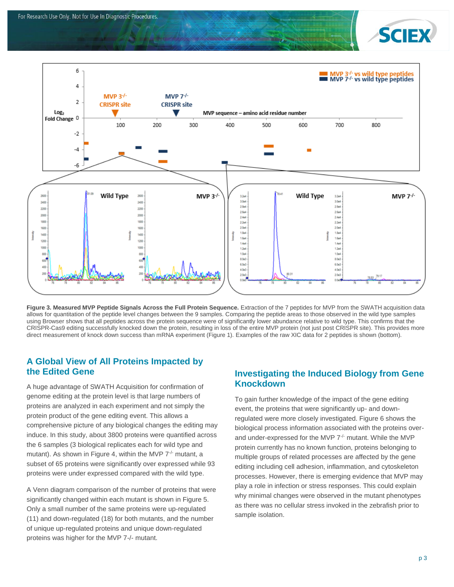



**Figure 3. Measured MVP Peptide Signals Across the Full Protein Sequence.** Extraction of the 7 peptides for MVP from the SWATH acquisition data allows for quantitation of the peptide level changes between the 9 samples. Comparing the peptide areas to those observed in the wild type samples using Browser shows that all peptides across the protein sequence were of significantly lower abundance relative to wild type. This confirms that the CRISPR-Cas9 editing successfully knocked down the protein, resulting in loss of the entire MVP protein (not just post CRISPR site). This provides more direct measurement of knock down success than mRNA experiment (Figure 1). Examples of the raw XIC data for 2 peptides is shown (bottom).

#### **A Global View of All Proteins Impacted by the Edited Gene**

A huge advantage of SWATH Acquisition for confirmation of genome editing at the protein level is that large numbers of proteins are analyzed in each experiment and not simply the protein product of the gene editing event. This allows a comprehensive picture of any biological changes the editing may induce. In this study, about 3800 proteins were quantified across the 6 samples (3 biological replicates each for wild type and mutant). As shown in Figure 4, within the MVP  $7<sup>-/-</sup>$  mutant, a subset of 65 proteins were significantly over expressed while 93 proteins were under expressed compared with the wild type.

A Venn diagram comparison of the number of proteins that were significantly changed within each mutant is shown in Figure 5. Only a small number of the same proteins were up-regulated (11) and down-regulated (18) for both mutants, and the number of unique up-regulated proteins and unique down-regulated proteins was higher for the MVP 7-/- mutant.

#### **Investigating the Induced Biology from Gene Knockdown**

To gain further knowledge of the impact of the gene editing event, the proteins that were significantly up- and downregulated were more closely investigated. Figure 6 shows the biological process information associated with the proteins overand under-expressed for the MVP 7<sup>-/-</sup> mutant. While the MVP protein currently has no known function, proteins belonging to multiple groups of related processes are affected by the gene editing including cell adhesion, inflammation, and cytoskeleton processes. However, there is emerging evidence that MVP may play a role in infection or stress responses. This could explain why minimal changes were observed in the mutant phenotypes as there was no cellular stress invoked in the zebrafish prior to sample isolation.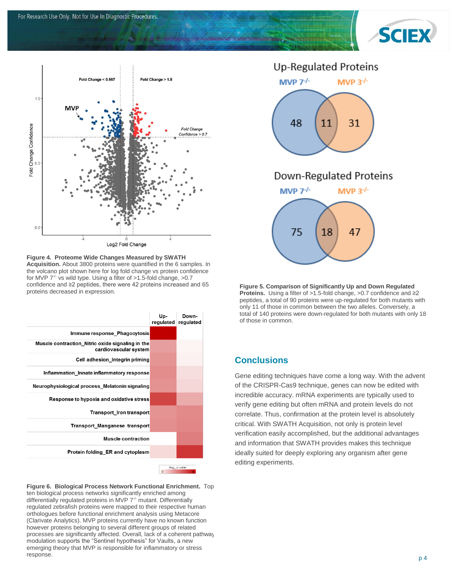



Log2 Fold Change

**Figure 4. Proteome Wide Changes Measured by SWATH Acquisition.** About 3800 proteins were quantified in the 6 samples. In the volcano plot shown here for log fold change vs protein confidence for MVP  $7^{\frac{1}{2}}$  vs wild type. Using a filter of  $>1.5$ -fold change,  $>0.7$ confidence and ≥2 peptides, there were 42 proteins increased and 65 proteins decreased in expression.

|                                                                           | Up-         | Down-<br>regulated regulated |
|---------------------------------------------------------------------------|-------------|------------------------------|
| Immune response Phagocytosis                                              |             |                              |
| Muscle contraction Nitric oxide signaling in the<br>cardiovascular system |             |                              |
| Cell adhesion Integrin priming                                            |             |                              |
| Inflammation Innate inflammatory response                                 |             |                              |
| Neurophysiological process Melatonin signaling                            |             |                              |
| Response to hypoxia and oxidative stress                                  |             |                              |
| <b>Transport Iron transport</b>                                           |             |                              |
| <b>Transport Manganese transport</b>                                      |             |                              |
| <b>Muscle contraction</b>                                                 |             |                              |
| Protein folding ER and cytoplasm                                          |             |                              |
|                                                                           | Jon n-volta |                              |

**Figure 6. Biological Process Network Functional Enrichment.** Top ten biological process networks significantly enriched among differentially regulated proteins in MVP 7<sup>-/-</sup> mutant. Differentially regulated zebrafish proteins were mapped to their respective human orthologues before functional enrichment analysis using Metacore (Clarivate Analytics). MVP proteins currently have no known function however proteins belonging to several different groups of related processes are significantly affected. Overall, lack of a coherent pathway modulation supports the "Sentinel hypothesis" for Vaults, a new emerging theory that MVP is responsible for inflammatory or stress response.

### **Up-Regulated Proteins**



## Down-Regulated Proteins



**Figure 5. Comparison of Significantly Up and Down Regulated Proteins.** Using a filter of >1.5-fold change, >0.7 confidence and ≥2 peptides, a total of 90 proteins were up-regulated for both mutants with only 11 of those in common between the two alleles. Conversely, a total of 140 proteins were down-regulated for both mutants with only 18 of those in common.

#### **Conclusions**

Gene editing techniques have come a long way. With the advent of the CRISPR-Cas9 technique, genes can now be edited with incredible accuracy. mRNA experiments are typically used to verify gene editing but often mRNA and protein levels do not correlate. Thus, confirmation at the protein level is absolutely critical. With SWATH Acquisition, not only is protein level verification easily accomplished, but the additional advantages and information that SWATH provides makes this technique ideally suited for deeply exploring any organism after gene editing experiments.